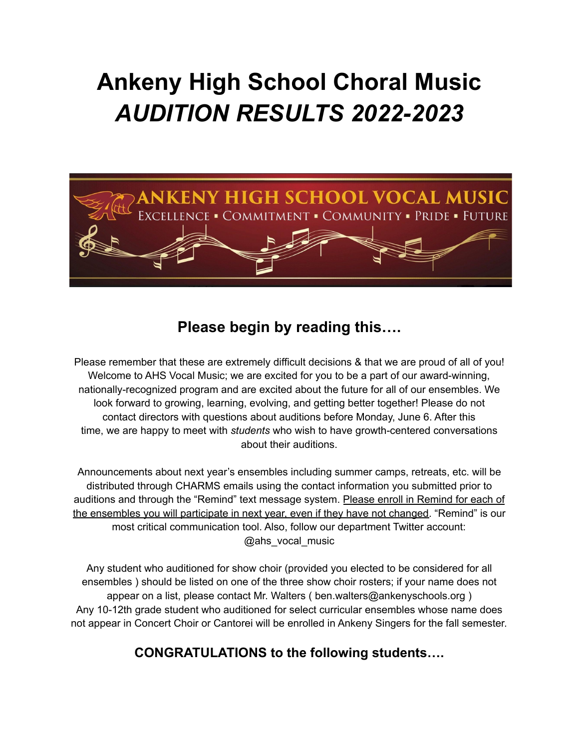# **Ankeny High School Choral Music** *AUDITION RESULTS 2022-2023*



### **Please begin by reading this….**

Please remember that these are extremely difficult decisions & that we are proud of all of you! Welcome to AHS Vocal Music; we are excited for you to be a part of our award-winning, nationally-recognized program and are excited about the future for all of our ensembles. We look forward to growing, learning, evolving, and getting better together! Please do not contact directors with questions about auditions before Monday, June 6. After this time, we are happy to meet with *students* who wish to have growth-centered conversations about their auditions.

Announcements about next year's ensembles including summer camps, retreats, etc. will be distributed through CHARMS emails using the contact information you submitted prior to auditions and through the "Remind" text message system. Please enroll in Remind for each of the ensembles you will participate in next year, even if they have not changed. "Remind" is our most critical communication tool. Also, follow our department Twitter account: @ahs\_vocal\_music

Any student who auditioned for show choir (provided you elected to be considered for all ensembles ) should be listed on one of the three show choir rosters; if your name does not appear on a list, please contact Mr. Walters ( ben.walters@ankenyschools.org ) Any 10-12th grade student who auditioned for select curricular ensembles whose name does not appear in Concert Choir or Cantorei will be enrolled in Ankeny Singers for the fall semester.

### **CONGRATULATIONS to the following students….**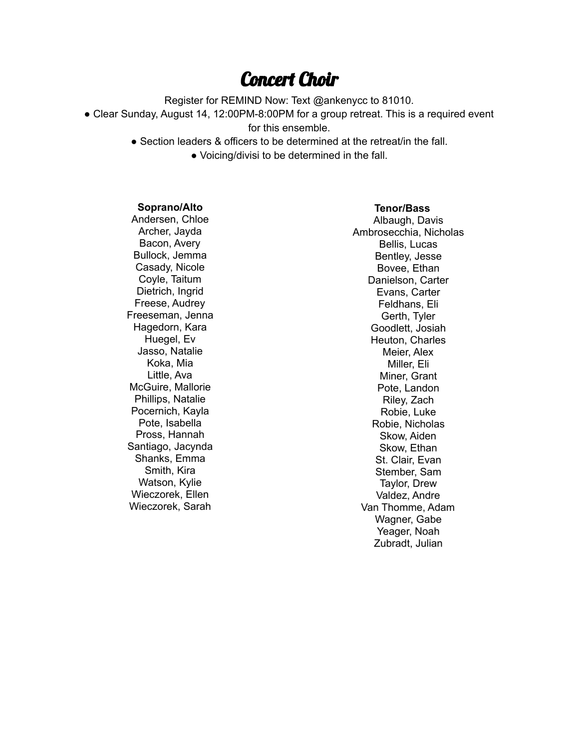### Concert Choir

Register for REMIND Now: Text @ankenycc to 81010.

• Clear Sunday, August 14, 12:00PM-8:00PM for a group retreat. This is a required event for this ensemble.

● Section leaders & officers to be determined at the retreat/in the fall.

● Voicing/divisi to be determined in the fall.

#### **Soprano/Alto**

Andersen, Chloe Archer, Jayda Bacon, Avery Bullock, Jemma Casady, Nicole Coyle, Taitum Dietrich, Ingrid Freese, Audrey Freeseman, Jenna Hagedorn, Kara Huegel, Ev Jasso, Natalie Koka, Mia Little, Ava McGuire, Mallorie Phillips, Natalie Pocernich, Kayla Pote, Isabella Pross, Hannah Santiago, Jacynda Shanks, Emma Smith, Kira Watson, Kylie Wieczorek, Ellen Wieczorek, Sarah

#### **Tenor/Bass**

Albaugh, Davis Ambrosecchia, Nicholas Bellis, Lucas Bentley, Jesse Bovee, Ethan Danielson, Carter Evans, Carter Feldhans, Eli Gerth, Tyler Goodlett, Josiah Heuton, Charles Meier, Alex Miller, Eli Miner, Grant Pote, Landon Riley, Zach Robie, Luke Robie, Nicholas Skow, Aiden Skow, Ethan St. Clair, Evan Stember, Sam Taylor, Drew Valdez, Andre Van Thomme, Adam Wagner, Gabe Yeager, Noah Zubradt, Julian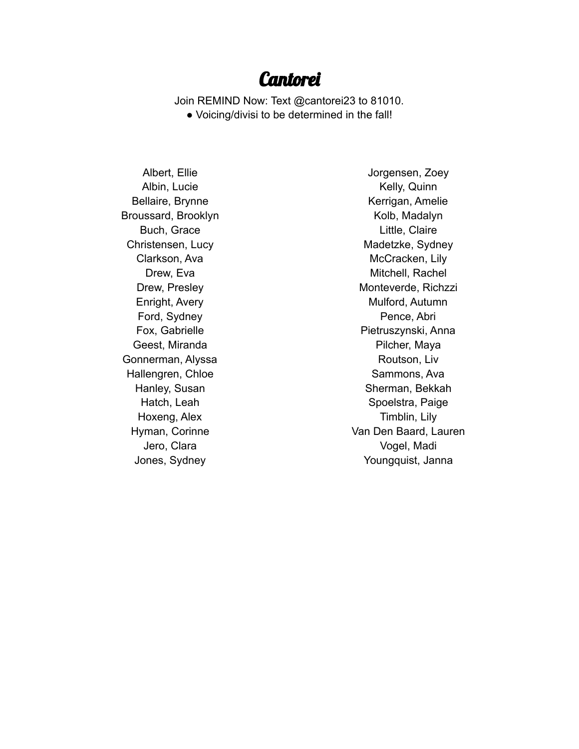### Cantorei

Join REMIND Now: Text @cantorei23 to 81010.

● Voicing/divisi to be determined in the fall!

Albert, Ellie Albin, Lucie Bellaire, Brynne Broussard, Brooklyn Buch, Grace Christensen, Lucy Clarkson, Ava Drew, Eva Drew, Presley Enright, Avery Ford, Sydney Fox, Gabrielle Geest, Miranda Gonnerman, Alyssa Hallengren, Chloe Hanley, Susan Hatch, Leah Hoxeng, Alex Hyman, Corinne Jero, Clara Jones, Sydney

Jorgensen, Zoey Kelly, Quinn Kerrigan, Amelie Kolb, Madalyn Little, Claire Madetzke, Sydney McCracken, Lily Mitchell, Rachel Monteverde, Richzzi Mulford, Autumn Pence, Abri Pietruszynski, Anna Pilcher, Maya Routson, Liv Sammons, Ava Sherman, Bekkah Spoelstra, Paige Timblin, Lily Van Den Baard, Lauren Vogel, Madi Youngquist, Janna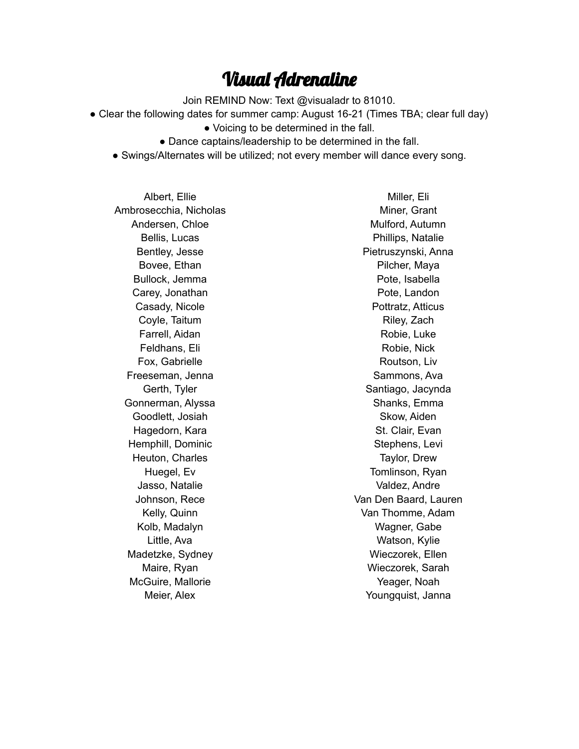### Visual Adrenaline

Join REMIND Now: Text @visualadr to 81010.

- Clear the following dates for summer camp: August 16-21 (Times TBA; clear full day)
	- Voicing to be determined in the fall.
	- Dance captains/leadership to be determined in the fall.
	- Swings/Alternates will be utilized; not every member will dance every song.

Albert, Ellie Ambrosecchia, Nicholas Andersen, Chloe Bellis, Lucas Bentley, Jesse Bovee, Ethan Bullock, Jemma Carey, Jonathan Casady, Nicole Coyle, Taitum Farrell, Aidan Feldhans, Eli Fox, Gabrielle Freeseman, Jenna Gerth, Tyler Gonnerman, Alyssa Goodlett, Josiah Hagedorn, Kara Hemphill, Dominic Heuton, Charles Huegel, Ev Jasso, Natalie Johnson, Rece Kelly, Quinn Kolb, Madalyn Little, Ava Madetzke, Sydney Maire, Ryan McGuire, Mallorie Meier, Alex

Miller, Eli Miner, Grant Mulford, Autumn Phillips, Natalie Pietruszynski, Anna Pilcher, Maya Pote, Isabella Pote, Landon Pottratz, Atticus Riley, Zach Robie, Luke Robie, Nick Routson, Liv Sammons, Ava Santiago, Jacynda Shanks, Emma Skow, Aiden St. Clair, Evan Stephens, Levi Taylor, Drew Tomlinson, Ryan Valdez, Andre Van Den Baard, Lauren Van Thomme, Adam Wagner, Gabe Watson, Kylie Wieczorek, Ellen Wieczorek, Sarah Yeager, Noah Youngquist, Janna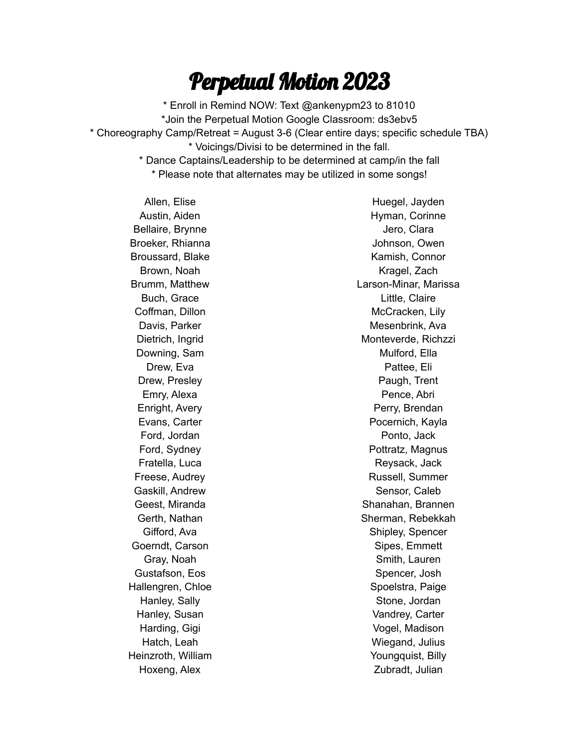# Perpetual Motion 2023

\* Enroll in Remind NOW: Text @ankenypm23 to 81010 \*Join the Perpetual Motion Google Classroom: ds3ebv5 \* Choreography Camp/Retreat = August 3-6 (Clear entire days; specific schedule TBA) \* Voicings/Divisi to be determined in the fall. \* Dance Captains/Leadership to be determined at camp/in the fall \* Please note that alternates may be utilized in some songs!

Allen, Elise Austin, Aiden Bellaire, Brynne Broeker, Rhianna Broussard, Blake Brown, Noah Brumm, Matthew Buch, Grace Coffman, Dillon Davis, Parker Dietrich, Ingrid Downing, Sam Drew, Eva Drew, Presley Emry, Alexa Enright, Avery Evans, Carter Ford, Jordan Ford, Sydney Fratella, Luca Freese, Audrey Gaskill, Andrew Geest, Miranda Gerth, Nathan Gifford, Ava Goerndt, Carson Gray, Noah Gustafson, Eos Hallengren, Chloe Hanley, Sally Hanley, Susan Harding, Gigi Hatch, Leah Heinzroth, William Hoxeng, Alex

Huegel, Jayden Hyman, Corinne Jero, Clara Johnson, Owen Kamish, Connor Kragel, Zach Larson-Minar, Marissa Little, Claire McCracken, Lily Mesenbrink, Ava Monteverde, Richzzi Mulford, Ella Pattee, Eli Paugh, Trent Pence, Abri Perry, Brendan Pocernich, Kayla Ponto, Jack Pottratz, Magnus Reysack, Jack Russell, Summer Sensor, Caleb Shanahan, Brannen Sherman, Rebekkah Shipley, Spencer Sipes, Emmett Smith, Lauren Spencer, Josh Spoelstra, Paige Stone, Jordan Vandrey, Carter Vogel, Madison Wiegand, Julius Youngquist, Billy Zubradt, Julian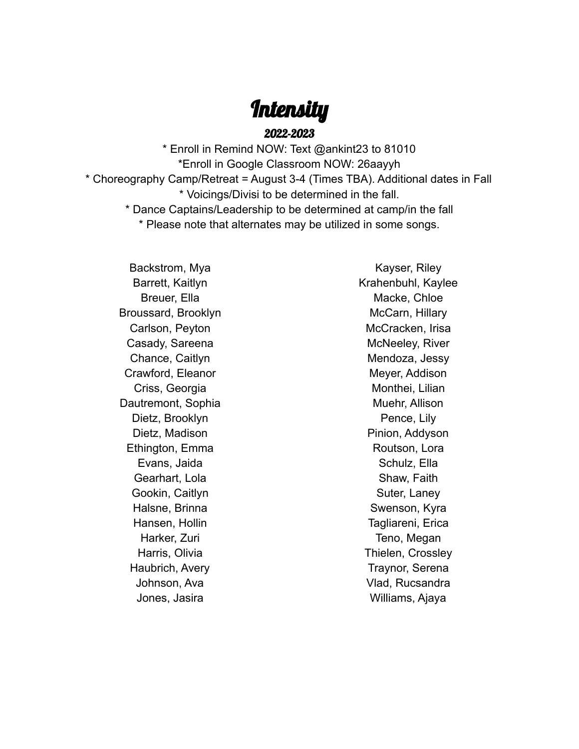## **Intensity**

2022-2023

\* Enroll in Remind NOW: Text @ankint23 to 81010 \*Enroll in Google Classroom NOW: 26aayyh \* Choreography Camp/Retreat = August 3-4 (Times TBA). Additional dates in Fall \* Voicings/Divisi to be determined in the fall. \* Dance Captains/Leadership to be determined at camp/in the fall

\* Please note that alternates may be utilized in some songs.

Backstrom, Mya Barrett, Kaitlyn Breuer, Ella Broussard, Brooklyn Carlson, Peyton Casady, Sareena Chance, Caitlyn Crawford, Eleanor Criss, Georgia Dautremont, Sophia Dietz, Brooklyn Dietz, Madison Ethington, Emma Evans, Jaida Gearhart, Lola Gookin, Caitlyn Halsne, Brinna Hansen, Hollin Harker, Zuri Harris, Olivia Haubrich, Avery Johnson, Ava Jones, Jasira

Kayser, Riley Krahenbuhl, Kaylee Macke, Chloe McCarn, Hillary McCracken, Irisa McNeeley, River Mendoza, Jessy Meyer, Addison Monthei, Lilian Muehr, Allison Pence, Lily Pinion, Addyson Routson, Lora Schulz, Ella Shaw, Faith Suter, Laney Swenson, Kyra Tagliareni, Erica Teno, Megan Thielen, Crossley Traynor, Serena Vlad, Rucsandra Williams, Ajaya